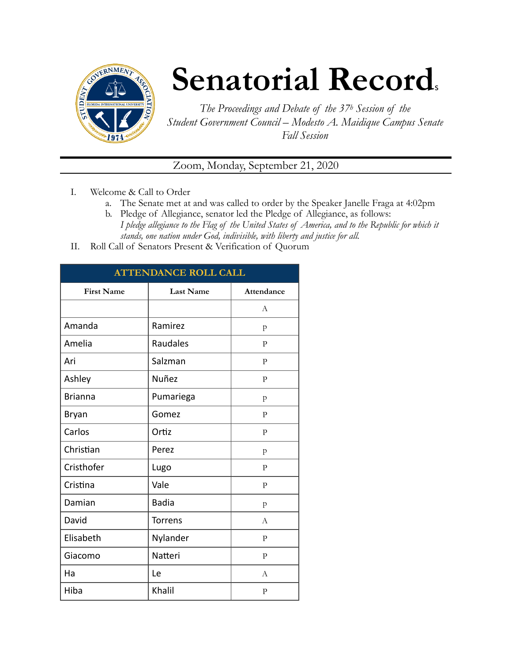

## **Senatorial Records**

*The Proceedings and Debate of the 37h Session of the Student Government Council – Modesto A. Maidique Campus Senate Fall Session* 

Zoom, Monday, September 21, 2020

- I. Welcome & Call to Order
	- a. The Senate met at and was called to order by the Speaker Janelle Fraga at 4:02pm
	- b. Pledge of Allegiance, senator led the Pledge of Allegiance, as follows: *I pledge allegiance to the Flag of the United States of America, and to the Republic for which it stands, one nation under God, indivisible, with liberty and justice for all.*
- II. Roll Call of Senators Present & Verification of Quorum

| <b>ATTENDANCE ROLL CALL</b> |                  |                |  |
|-----------------------------|------------------|----------------|--|
| <b>First Name</b>           | <b>Last Name</b> | Attendance     |  |
|                             |                  | A              |  |
| Amanda                      | Ramirez          | p              |  |
| Amelia                      | Raudales         | P              |  |
| Ari                         | Salzman          | $\overline{P}$ |  |
| Ashley                      | Nuñez            | $\mathbf{P}$   |  |
| <b>Brianna</b>              | Pumariega        | $\mathbf{p}$   |  |
| Bryan                       | Gomez            | P              |  |
| Carlos                      | Ortiz            | $\mathbf{P}$   |  |
| Christian                   | Perez            | p              |  |
| Cristhofer                  | Lugo             | $\mathbf{P}$   |  |
| Cristina                    | Vale             | $\mathbf{P}$   |  |
| Damian                      | <b>Badia</b>     | $\mathbf{p}$   |  |
| David                       | <b>Torrens</b>   | A              |  |
| Elisabeth                   | Nylander         | $\mathbf{P}$   |  |
| Giacomo                     | Natteri          | $\mathbf{P}$   |  |
| Ha                          | Le               | $\overline{A}$ |  |
| Hiba                        | Khalil           | $\mathbf{P}$   |  |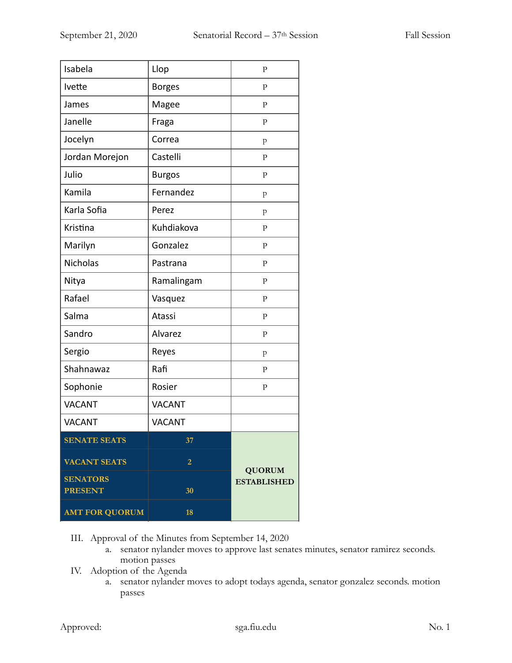| Isabela               | Llop           | $\mathbf{P}$                        |
|-----------------------|----------------|-------------------------------------|
| Ivette                | <b>Borges</b>  | $\mathbf{P}$                        |
| James                 | Magee          | $\mathbf{P}$                        |
| Janelle               | Fraga          | ${\bf P}$                           |
| Jocelyn               | Correa         | p                                   |
| Jordan Morejon        | Castelli       | $\mathbf{P}$                        |
| Julio                 | <b>Burgos</b>  | $\mathbf{P}$                        |
| Kamila                | Fernandez      | p                                   |
| Karla Sofia           | Perez          | p                                   |
| Kristina              | Kuhdiakova     | ${\bf P}$                           |
| Marilyn               | Gonzalez       | $\mathbf{P}$                        |
| Nicholas              | Pastrana       | $\mathbf{P}$                        |
| Nitya                 | Ramalingam     | $\mathbf{P}$                        |
| Rafael                | Vasquez        | $\mathbf{P}$                        |
| Salma                 | Atassi         | $\mathbf{P}$                        |
| Sandro                | Alvarez        | $\mathbf{P}$                        |
| Sergio                | Reyes          | p                                   |
| Shahnawaz             | Rafi           | $\mathbf{P}$                        |
| Sophonie              | Rosier         | ${\bf P}$                           |
| <b>VACANT</b>         | <b>VACANT</b>  |                                     |
| <b>VACANT</b>         | <b>VACANT</b>  |                                     |
| <b>SENATE SEATS</b>   | 37             |                                     |
| <b>VACANT SEATS</b>   | $\overline{2}$ |                                     |
| <b>SENATORS</b>       |                | <b>QUORUM</b><br><b>ESTABLISHED</b> |
| <b>PRESENT</b>        | 30             |                                     |
| <b>AMT FOR QUORUM</b> | 18             |                                     |

III. Approval of the Minutes from September 14, 2020

- a. senator nylander moves to approve last senates minutes, senator ramirez seconds. motion passes
- IV. Adoption of the Agenda
	- a. senator nylander moves to adopt todays agenda, senator gonzalez seconds. motion passes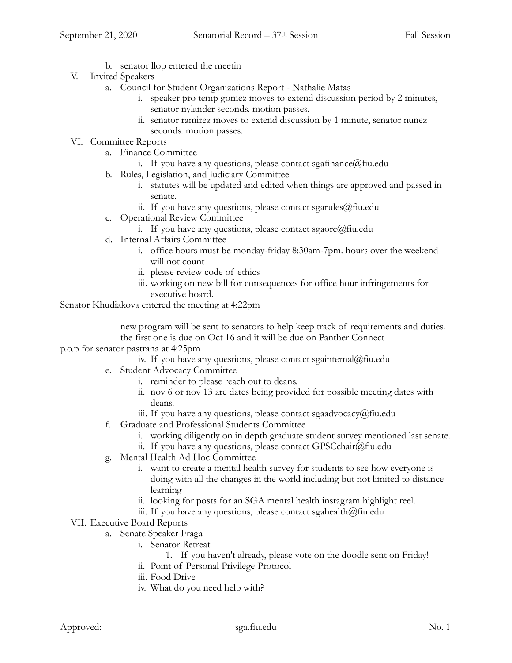- b. senator llop entered the meetin
- V. Invited Speakers
	- a. Council for Student Organizations Report Nathalie Matas
		- i. speaker pro temp gomez moves to extend discussion period by 2 minutes, senator nylander seconds. motion passes.
		- ii. senator ramirez moves to extend discussion by 1 minute, senator nunez seconds. motion passes.
- VI. Committee Reports
	- a. Finance Committee
		- i. If you have any questions, please contact sgafinance  $(a)$  fiu.edu
	- b. Rules, Legislation, and Judiciary Committee
		- i. statutes will be updated and edited when things are approved and passed in senate.
		- ii. If you have any questions, please contact sgarules@fiu.edu
	- c. Operational Review Committee
		- i. If you have any questions, please contact sgaorc@fiu.edu
	- d. Internal Affairs Committee
		- i. office hours must be monday-friday 8:30am-7pm. hours over the weekend will not count
		- ii. please review code of ethics
		- iii. working on new bill for consequences for office hour infringements for executive board.

Senator Khudiakova entered the meeting at 4:22pm

 new program will be sent to senators to help keep track of requirements and duties. the first one is due on Oct 16 and it will be due on Panther Connect

p.o.p for senator pastrana at 4:25pm

iv. If you have any questions, please contact sgainternal@fiu.edu

- e. Student Advocacy Committee
	- i. reminder to please reach out to deans.
	- ii. nov 6 or nov 13 are dates being provided for possible meeting dates with deans.
	- iii. If you have any questions, please contact sgaadvocacy@fiu.edu
- f. Graduate and Professional Students Committee
	- i. working diligently on in depth graduate student survey mentioned last senate.
	- ii. If you have any questions, please contact GPSCchair@fiu.edu
- g. Mental Health Ad Hoc Committee
	- i. want to create a mental health survey for students to see how everyone is doing with all the changes in the world including but not limited to distance learning
	- ii. looking for posts for an SGA mental health instagram highlight reel.
	- iii. If you have any questions, please contact sgahealth $@$ fiu.edu
- VII. Executive Board Reports
	- a. Senate Speaker Fraga
		- i. Senator Retreat
			- 1. If you haven't already, please vote on the doodle sent on Friday!
		- ii. Point of Personal Privilege Protocol
		- iii. Food Drive
		- iv. What do you need help with?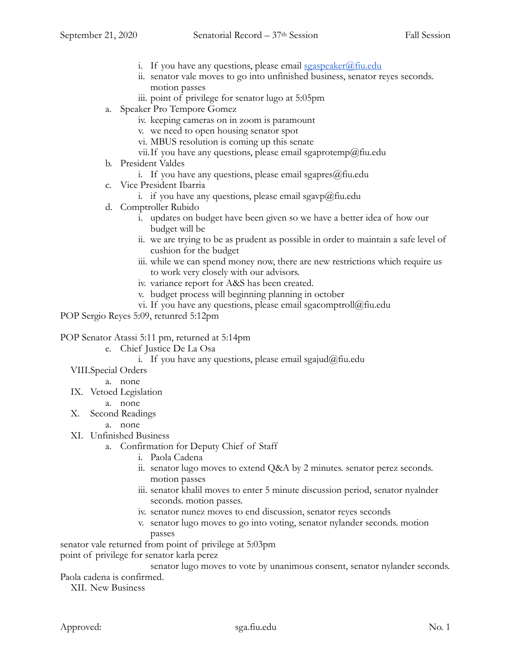- i. If you have any questions, please email  $sgaspeaker(\mathcal{Q})$  fiu.edu
- ii. senator vale moves to go into unfinished business, senator reyes seconds. motion passes
- iii. point of privilege for senator lugo at 5:05pm
- a. Speaker Pro Tempore Gomez
	- iv. keeping cameras on in zoom is paramount
	- v. we need to open housing senator spot
	- vi. MBUS resolution is coming up this senate
	- vii. If you have any questions, please email sgaprotemp@fiu.edu
- b. President Valdes
	- i. If you have any questions, please email sgapres $@$ fiu.edu
- c. Vice President Ibarria
	- i. if you have any questions, please email sgavp@fiu.edu
- d. Comptroller Rubido
	- i. updates on budget have been given so we have a better idea of how our budget will be
	- ii. we are trying to be as prudent as possible in order to maintain a safe level of cushion for the budget
	- iii. while we can spend money now, there are new restrictions which require us to work very closely with our advisors.
	- iv. variance report for A&S has been created.
	- v. budget process will beginning planning in october
	- vi. If you have any questions, please email sgacomptroll $@$ fiu.edu

POP Sergio Reyes 5:09, retunred 5:12pm

POP Senator Atassi 5:11 pm, returned at 5:14pm

- e. Chief Justice De La Osa
	- i. If you have any questions, please email sgajud@fiu.edu
- VIII.Special Orders
	- a. none
- IX. Vetoed Legislation
	- a. none
- X. Second Readings
	- a. none
- XI. Unfinished Business
	- a. Confirmation for Deputy Chief of Staff
		- i. Paola Cadena
		- ii. senator lugo moves to extend Q&A by 2 minutes. senator perez seconds. motion passes
		- iii. senator khalil moves to enter 5 minute discussion period, senator nyalnder seconds. motion passes.
		- iv. senator nunez moves to end discussion, senator reyes seconds
		- v. senator lugo moves to go into voting, senator nylander seconds. motion passes

senator vale returned from point of privilege at 5:03pm point of privilege for senator karla perez

senator lugo moves to vote by unanimous consent, senator nylander seconds.

Paola cadena is confirmed.

XII. New Business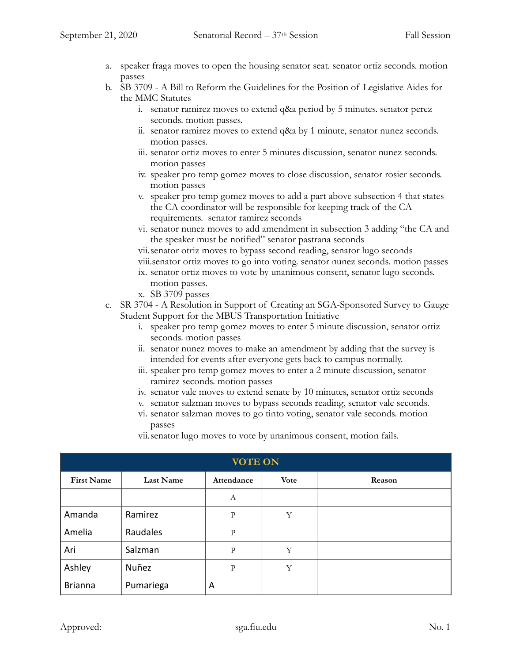- a. speaker fraga moves to open the housing senator seat. senator ortiz seconds. motion passes
- b. SB 3709 A Bill to Reform the Guidelines for the Position of Legislative Aides for the MMC Statutes
	- i. senator ramirez moves to extend q&a period by 5 minutes. senator perez seconds. motion passes.
	- ii. senator ramirez moves to extend q&a by 1 minute, senator nunez seconds. motion passes.
	- iii. senator ortiz moves to enter 5 minutes discussion, senator nunez seconds. motion passes
	- iv. speaker pro temp gomez moves to close discussion, senator rosier seconds. motion passes
	- v. speaker pro temp gomez moves to add a part above subsection 4 that states the CA coordinator will be responsible for keeping track of the CA requirements. senator ramirez seconds
	- vi. senator nunez moves to add amendment in subsection 3 adding "the CA and the speaker must be notified" senator pastrana seconds

vii.senator otriz moves to bypass second reading, senator lugo seconds viii.senator ortiz moves to go into voting. senator nunez seconds. motion passes

- ix. senator ortiz moves to vote by unanimous consent, senator lugo seconds. motion passes.
- x. SB 3709 passes
- c. SR 3704 A Resolution in Support of Creating an SGA-Sponsored Survey to Gauge Student Support for the MBUS Transportation Initiative
	- i. speaker pro temp gomez moves to enter 5 minute discussion, senator ortiz seconds. motion passes
	- ii. senator nunez moves to make an amendment by adding that the survey is intended for events after everyone gets back to campus normally.
	- iii. speaker pro temp gomez moves to enter a 2 minute discussion, senator ramirez seconds. motion passes
	- iv. senator vale moves to extend senate by 10 minutes, senator ortiz seconds
	- v. senator salzman moves to bypass seconds reading, senator vale seconds.
	- vi. senator salzman moves to go tinto voting, senator vale seconds. motion passes

vii.senator lugo moves to vote by unanimous consent, motion fails.

| <b>VOTE ON</b>    |                  |              |             |        |
|-------------------|------------------|--------------|-------------|--------|
| <b>First Name</b> | <b>Last Name</b> | Attendance   | <b>Vote</b> | Reason |
|                   |                  | А            |             |        |
| Amanda            | Ramirez          | $\mathbf{P}$ | Y           |        |
| Amelia            | Raudales         | P            |             |        |
| Ari               | Salzman          | P            | Y           |        |
| Ashley            | Nuñez            | $\mathbf{P}$ | Υ           |        |
| <b>Brianna</b>    | Pumariega        | A            |             |        |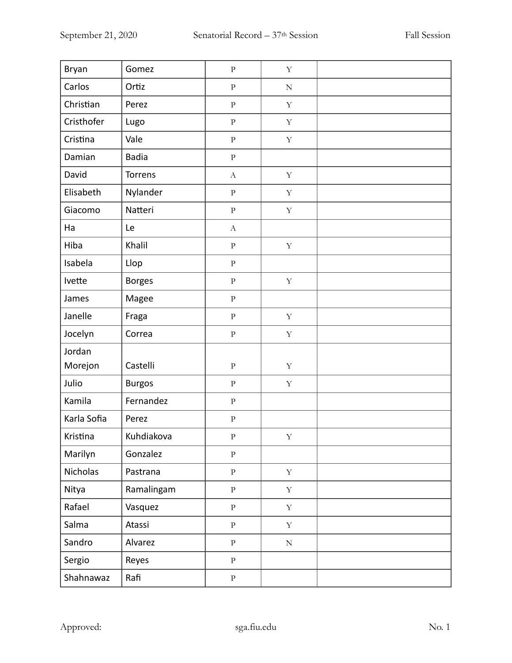| Bryan       | Gomez         | $\rm P$               | $\mathbf Y$ |  |
|-------------|---------------|-----------------------|-------------|--|
| Carlos      | Ortiz         | ${\bf P}$             | ${\bf N}$   |  |
| Christian   | Perez         | $\rm P$               | $\mathbf Y$ |  |
| Cristhofer  | Lugo          | ${\bf p}$             | $\mathbf Y$ |  |
| Cristina    | Vale          | $\rm P$               | $\mathbf Y$ |  |
| Damian      | <b>Badia</b>  | $\rm P$               |             |  |
| David       | Torrens       | $\boldsymbol{A}$      | $\mathbf Y$ |  |
| Elisabeth   | Nylander      | $\rm P$               | $\mathbf Y$ |  |
| Giacomo     | Natteri       | $\rm P$               | $\mathbf Y$ |  |
| Ha          | Le            | $\boldsymbol{\rm{A}}$ |             |  |
| Hiba        | Khalil        | $\rm P$               | $\mathbf Y$ |  |
| Isabela     | Llop          | $\rm P$               |             |  |
| Ivette      | <b>Borges</b> | $\rm P$               | $\mathbf Y$ |  |
| James       | Magee         | $\rm P$               |             |  |
| Janelle     | Fraga         | $\rm P$               | $\mathbf Y$ |  |
| Jocelyn     | Correa        | ${\bf P}$             | $\mathbf Y$ |  |
| Jordan      |               |                       |             |  |
| Morejon     | Castelli      | ${\bf P}$             | $\mathbf Y$ |  |
| Julio       | <b>Burgos</b> | ${\bf P}$             | $\mathbf Y$ |  |
| Kamila      | Fernandez     | ${\bf P}$             |             |  |
| Karla Sofia | Perez         | $\rm P$               |             |  |
| Kristina    | Kuhdiakova    | Ρ                     | Υ           |  |
| Marilyn     | Gonzalez      | $\, {\bf p}$          |             |  |
| Nicholas    | Pastrana      | $\rm P$               | $\mathbf Y$ |  |
| Nitya       | Ramalingam    | $\, {\bf p}$          | $\mathbf Y$ |  |
| Rafael      | Vasquez       | $\rm P$               | $\mathbf Y$ |  |
| Salma       | Atassi        | $\rm P$               | $\mathbf Y$ |  |
| Sandro      | Alvarez       | $\rm P$               | ${\bf N}$   |  |
| Sergio      | Reyes         | ${\bf p}$             |             |  |
| Shahnawaz   | Rafi          | $\rm P$               |             |  |